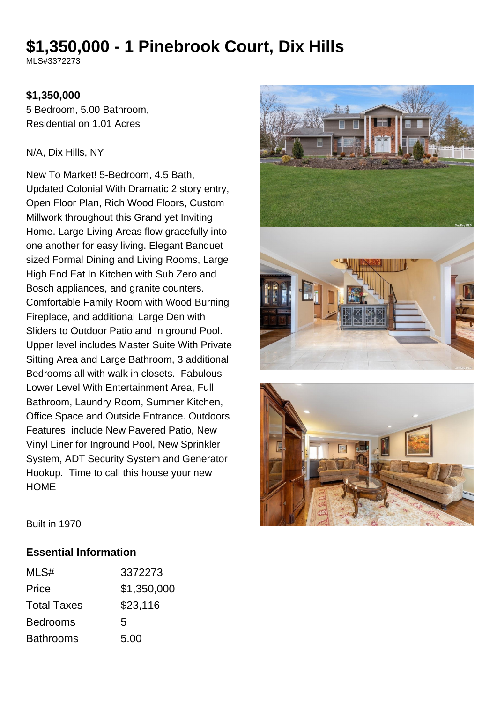# **\$1,350,000 - 1 Pinebrook Court, Dix Hills**

MLS#3372273

#### **\$1,350,000**

5 Bedroom, 5.00 Bathroom, Residential on 1.01 Acres

#### N/A, Dix Hills, NY

New To Market! 5-Bedroom, 4.5 Bath, Updated Colonial With Dramatic 2 story entry, Open Floor Plan, Rich Wood Floors, Custom Millwork throughout this Grand yet Inviting Home. Large Living Areas flow gracefully into one another for easy living. Elegant Banquet sized Formal Dining and Living Rooms, Large High End Eat In Kitchen with Sub Zero and Bosch appliances, and granite counters. Comfortable Family Room with Wood Burning Fireplace, and additional Large Den with Sliders to Outdoor Patio and In ground Pool. Upper level includes Master Suite With Private Sitting Area and Large Bathroom, 3 additional Bedrooms all with walk in closets. Fabulous Lower Level With Entertainment Area, Full Bathroom, Laundry Room, Summer Kitchen, Office Space and Outside Entrance. Outdoors Features include New Pavered Patio, New Vinyl Liner for Inground Pool, New Sprinkler System, ADT Security System and Generator Hookup. Time to call this house your new HOME





Built in 1970

#### **Essential Information**

| MLS#               | 3372273     |
|--------------------|-------------|
| Price              | \$1,350,000 |
| <b>Total Taxes</b> | \$23,116    |
| <b>Bedrooms</b>    | 5           |
| <b>Bathrooms</b>   | 5.00        |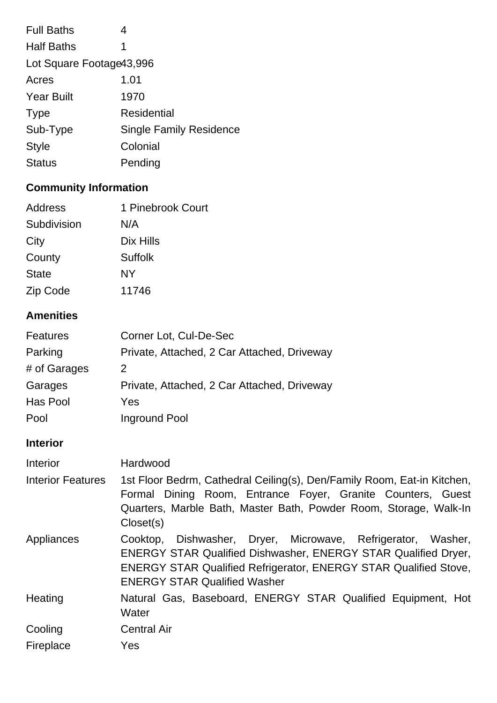| <b>Full Baths</b>         | 4                              |
|---------------------------|--------------------------------|
| <b>Half Baths</b>         | 1                              |
| Lot Square Footage 43,996 |                                |
| Acres                     | 1.01                           |
| <b>Year Built</b>         | 1970                           |
| <b>Type</b>               | Residential                    |
| Sub-Type                  | <b>Single Family Residence</b> |
| <b>Style</b>              | Colonial                       |
| <b>Status</b>             | Pending                        |
|                           |                                |

## **Community Information**

| Address      | 1 Pinebrook Court |
|--------------|-------------------|
| Subdivision  | N/A               |
| City         | Dix Hills         |
| County       | Suffolk           |
| <b>State</b> | NΥ                |
| Zip Code     | 11746             |

### **Amenities**

| <b>Features</b> | Corner Lot, Cul-De-Sec                      |
|-----------------|---------------------------------------------|
| Parking         | Private, Attached, 2 Car Attached, Driveway |
| # of Garages    | 2                                           |
| Garages         | Private, Attached, 2 Car Attached, Driveway |
| Has Pool        | Yes                                         |
| Pool            | Inground Pool                               |

# **Interior**

| Interior                 | Hardwood                                                                                                                                                                                                                                                |
|--------------------------|---------------------------------------------------------------------------------------------------------------------------------------------------------------------------------------------------------------------------------------------------------|
| <b>Interior Features</b> | 1st Floor Bedrm, Cathedral Ceiling(s), Den/Family Room, Eat-in Kitchen,<br>Formal Dining Room, Entrance Foyer, Granite Counters, Guest<br>Quarters, Marble Bath, Master Bath, Powder Room, Storage, Walk-In<br>Closet(s)                                |
| Appliances               | Cooktop, Dishwasher, Dryer, Microwave, Refrigerator, Washer,<br><b>ENERGY STAR Qualified Dishwasher, ENERGY STAR Qualified Dryer,</b><br><b>ENERGY STAR Qualified Refrigerator, ENERGY STAR Qualified Stove,</b><br><b>ENERGY STAR Qualified Washer</b> |
| Heating                  | Natural Gas, Baseboard, ENERGY STAR Qualified Equipment, Hot<br>Water                                                                                                                                                                                   |
| Cooling                  | <b>Central Air</b>                                                                                                                                                                                                                                      |
| Fireplace                | Yes                                                                                                                                                                                                                                                     |